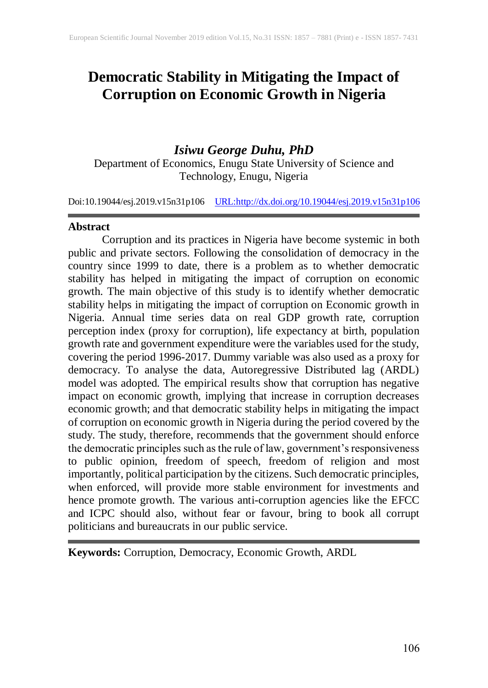# **Democratic Stability in Mitigating the Impact of Corruption on Economic Growth in Nigeria**

# *Isiwu George Duhu, PhD*

Department of Economics, Enugu State University of Science and Technology, Enugu, Nigeria

Doi:10.19044/esj.2019.v15n31p106 [URL:http://dx.doi.org/10.19044/esj.2019.v15n31p1](http://dx.doi.org/10.19044/esj.2019.v15n31p1)06

### **Abstract**

Corruption and its practices in Nigeria have become systemic in both public and private sectors. Following the consolidation of democracy in the country since 1999 to date, there is a problem as to whether democratic stability has helped in mitigating the impact of corruption on economic growth. The main objective of this study is to identify whether democratic stability helps in mitigating the impact of corruption on Economic growth in Nigeria. Annual time series data on real GDP growth rate, corruption perception index (proxy for corruption), life expectancy at birth, population growth rate and government expenditure were the variables used for the study, covering the period 1996-2017. Dummy variable was also used as a proxy for democracy. To analyse the data, Autoregressive Distributed lag (ARDL) model was adopted. The empirical results show that corruption has negative impact on economic growth, implying that increase in corruption decreases economic growth; and that democratic stability helps in mitigating the impact of corruption on economic growth in Nigeria during the period covered by the study. The study, therefore, recommends that the government should enforce the democratic principles such asthe rule of law, government'sresponsiveness to public opinion, freedom of speech, freedom of religion and most importantly, political participation by the citizens. Such democratic principles, when enforced, will provide more stable environment for investments and hence promote growth. The various anti-corruption agencies like the EFCC and ICPC should also, without fear or favour, bring to book all corrupt politicians and bureaucrats in our public service.

**Keywords:** Corruption, Democracy, Economic Growth, ARDL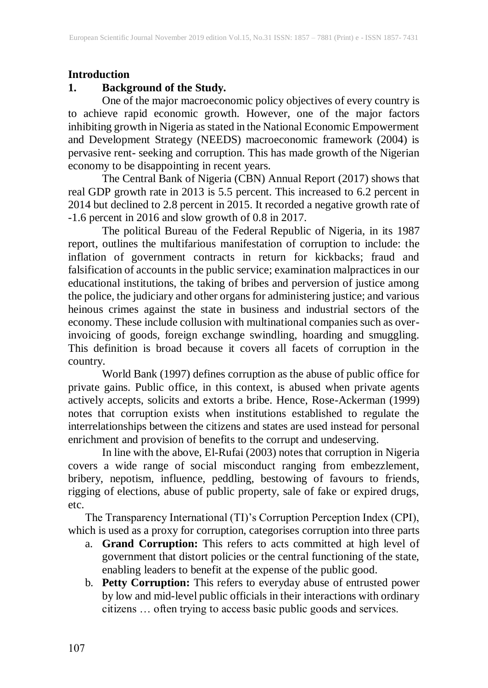#### **Introduction**

### **1. Background of the Study.**

One of the major macroeconomic policy objectives of every country is to achieve rapid economic growth. However, one of the major factors inhibiting growth in Nigeria as stated in the National Economic Empowerment and Development Strategy (NEEDS) macroeconomic framework (2004) is pervasive rent- seeking and corruption. This has made growth of the Nigerian economy to be disappointing in recent years.

The Central Bank of Nigeria (CBN) Annual Report (2017) shows that real GDP growth rate in 2013 is 5.5 percent. This increased to 6.2 percent in 2014 but declined to 2.8 percent in 2015. It recorded a negative growth rate of -1.6 percent in 2016 and slow growth of 0.8 in 2017.

The political Bureau of the Federal Republic of Nigeria, in its 1987 report, outlines the multifarious manifestation of corruption to include: the inflation of government contracts in return for kickbacks; fraud and falsification of accounts in the public service; examination malpractices in our educational institutions, the taking of bribes and perversion of justice among the police, the judiciary and other organs for administering justice; and various heinous crimes against the state in business and industrial sectors of the economy. These include collusion with multinational companies such as overinvoicing of goods, foreign exchange swindling, hoarding and smuggling. This definition is broad because it covers all facets of corruption in the country.

World Bank (1997) defines corruption as the abuse of public office for private gains. Public office, in this context, is abused when private agents actively accepts, solicits and extorts a bribe. Hence, Rose-Ackerman (1999) notes that corruption exists when institutions established to regulate the interrelationships between the citizens and states are used instead for personal enrichment and provision of benefits to the corrupt and undeserving.

In line with the above, El-Rufai (2003) notes that corruption in Nigeria covers a wide range of social misconduct ranging from embezzlement, bribery, nepotism, influence, peddling, bestowing of favours to friends, rigging of elections, abuse of public property, sale of fake or expired drugs, etc.

The Transparency International (TI)'s Corruption Perception Index (CPI), which is used as a proxy for corruption, categorises corruption into three parts

- a. **Grand Corruption:** This refers to acts committed at high level of government that distort policies or the central functioning of the state, enabling leaders to benefit at the expense of the public good.
- b. **Petty Corruption:** This refers to everyday abuse of entrusted power by low and mid-level public officials in their interactions with ordinary citizens … often trying to access basic public goods and services.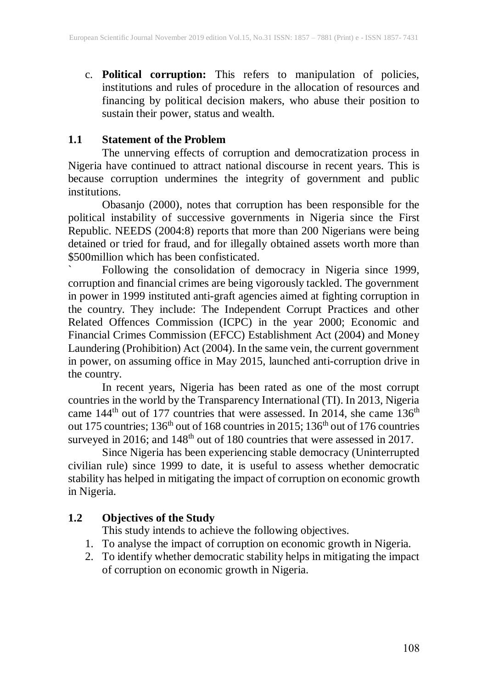c. **Political corruption:** This refers to manipulation of policies, institutions and rules of procedure in the allocation of resources and financing by political decision makers, who abuse their position to sustain their power, status and wealth.

## **1.1 Statement of the Problem**

The unnerving effects of corruption and democratization process in Nigeria have continued to attract national discourse in recent years. This is because corruption undermines the integrity of government and public institutions.

Obasanjo (2000), notes that corruption has been responsible for the political instability of successive governments in Nigeria since the First Republic. NEEDS (2004:8) reports that more than 200 Nigerians were being detained or tried for fraud, and for illegally obtained assets worth more than \$500million which has been confisticated.

Following the consolidation of democracy in Nigeria since 1999, corruption and financial crimes are being vigorously tackled. The government in power in 1999 instituted anti-graft agencies aimed at fighting corruption in the country. They include: The Independent Corrupt Practices and other Related Offences Commission (ICPC) in the year 2000; Economic and Financial Crimes Commission (EFCC) Establishment Act (2004) and Money Laundering (Prohibition) Act (2004). In the same vein, the current government in power, on assuming office in May 2015, launched anti-corruption drive in the country.

In recent years, Nigeria has been rated as one of the most corrupt countries in the world by the Transparency International (TI). In 2013, Nigeria came  $144<sup>th</sup>$  out of 177 countries that were assessed. In 2014, she came  $136<sup>th</sup>$ out 175 countries; 136<sup>th</sup> out of 168 countries in 2015; 136<sup>th</sup> out of 176 countries surveyed in 2016; and  $148<sup>th</sup>$  out of 180 countries that were assessed in 2017.

Since Nigeria has been experiencing stable democracy (Uninterrupted civilian rule) since 1999 to date, it is useful to assess whether democratic stability has helped in mitigating the impact of corruption on economic growth in Nigeria.

# **1.2 Objectives of the Study**

This study intends to achieve the following objectives.

- 1. To analyse the impact of corruption on economic growth in Nigeria.
- 2. To identify whether democratic stability helps in mitigating the impact of corruption on economic growth in Nigeria.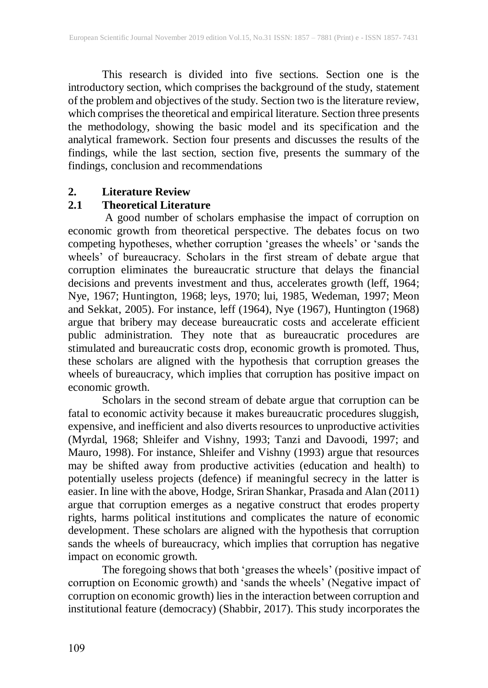This research is divided into five sections. Section one is the introductory section, which comprises the background of the study, statement of the problem and objectives of the study. Section two is the literature review, which comprises the theoretical and empirical literature. Section three presents the methodology, showing the basic model and its specification and the analytical framework. Section four presents and discusses the results of the findings, while the last section, section five, presents the summary of the findings, conclusion and recommendations

#### **2. Literature Review**

### **2.1 Theoretical Literature**

A good number of scholars emphasise the impact of corruption on economic growth from theoretical perspective. The debates focus on two competing hypotheses, whether corruption 'greases the wheels' or 'sands the wheels' of bureaucracy. Scholars in the first stream of debate argue that corruption eliminates the bureaucratic structure that delays the financial decisions and prevents investment and thus, accelerates growth (leff, 1964; Nye, 1967; Huntington, 1968; leys, 1970; lui, 1985, Wedeman, 1997; Meon and Sekkat, 2005). For instance, leff (1964), Nye (1967), Huntington (1968) argue that bribery may decease bureaucratic costs and accelerate efficient public administration. They note that as bureaucratic procedures are stimulated and bureaucratic costs drop, economic growth is promoted. Thus, these scholars are aligned with the hypothesis that corruption greases the wheels of bureaucracy, which implies that corruption has positive impact on economic growth.

Scholars in the second stream of debate argue that corruption can be fatal to economic activity because it makes bureaucratic procedures sluggish, expensive, and inefficient and also diverts resources to unproductive activities (Myrdal, 1968; Shleifer and Vishny, 1993; Tanzi and Davoodi, 1997; and Mauro, 1998). For instance, Shleifer and Vishny (1993) argue that resources may be shifted away from productive activities (education and health) to potentially useless projects (defence) if meaningful secrecy in the latter is easier. In line with the above, Hodge, Sriran Shankar, Prasada and Alan (2011) argue that corruption emerges as a negative construct that erodes property rights, harms political institutions and complicates the nature of economic development. These scholars are aligned with the hypothesis that corruption sands the wheels of bureaucracy, which implies that corruption has negative impact on economic growth.

The foregoing shows that both 'greases the wheels' (positive impact of corruption on Economic growth) and 'sands the wheels' (Negative impact of corruption on economic growth) lies in the interaction between corruption and institutional feature (democracy) (Shabbir, 2017). This study incorporates the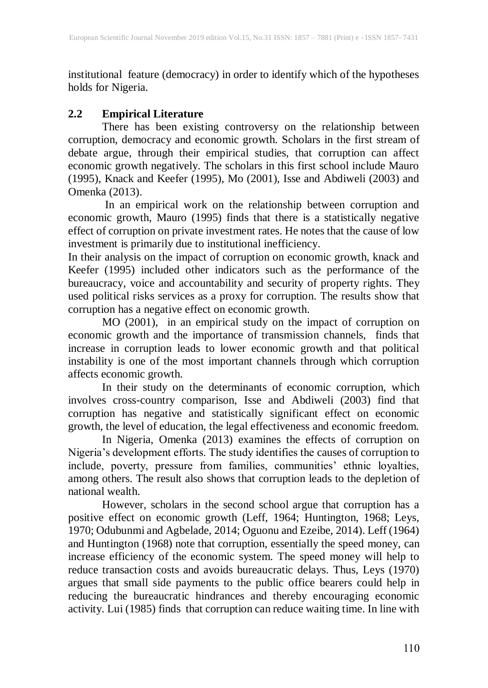institutional feature (democracy) in order to identify which of the hypotheses holds for Nigeria.

## **2.2 Empirical Literature**

There has been existing controversy on the relationship between corruption, democracy and economic growth. Scholars in the first stream of debate argue, through their empirical studies, that corruption can affect economic growth negatively. The scholars in this first school include Mauro (1995), Knack and Keefer (1995), Mo (2001), Isse and Abdiweli (2003) and Omenka (2013).

In an empirical work on the relationship between corruption and economic growth, Mauro (1995) finds that there is a statistically negative effect of corruption on private investment rates. He notes that the cause of low investment is primarily due to institutional inefficiency.

In their analysis on the impact of corruption on economic growth, knack and Keefer (1995) included other indicators such as the performance of the bureaucracy, voice and accountability and security of property rights. They used political risks services as a proxy for corruption. The results show that corruption has a negative effect on economic growth.

MO (2001), in an empirical study on the impact of corruption on economic growth and the importance of transmission channels, finds that increase in corruption leads to lower economic growth and that political instability is one of the most important channels through which corruption affects economic growth.

In their study on the determinants of economic corruption, which involves cross-country comparison, Isse and Abdiweli (2003) find that corruption has negative and statistically significant effect on economic growth, the level of education, the legal effectiveness and economic freedom.

In Nigeria, Omenka (2013) examines the effects of corruption on Nigeria's development efforts. The study identifies the causes of corruption to include, poverty, pressure from families, communities' ethnic loyalties, among others. The result also shows that corruption leads to the depletion of national wealth.

However, scholars in the second school argue that corruption has a positive effect on economic growth (Leff, 1964; Huntington, 1968; Leys, 1970; Odubunmi and Agbelade, 2014; Oguonu and Ezeibe, 2014). Leff (1964) and Huntington (1968) note that corruption, essentially the speed money, can increase efficiency of the economic system. The speed money will help to reduce transaction costs and avoids bureaucratic delays. Thus, Leys (1970) argues that small side payments to the public office bearers could help in reducing the bureaucratic hindrances and thereby encouraging economic activity. Lui (1985) finds that corruption can reduce waiting time. In line with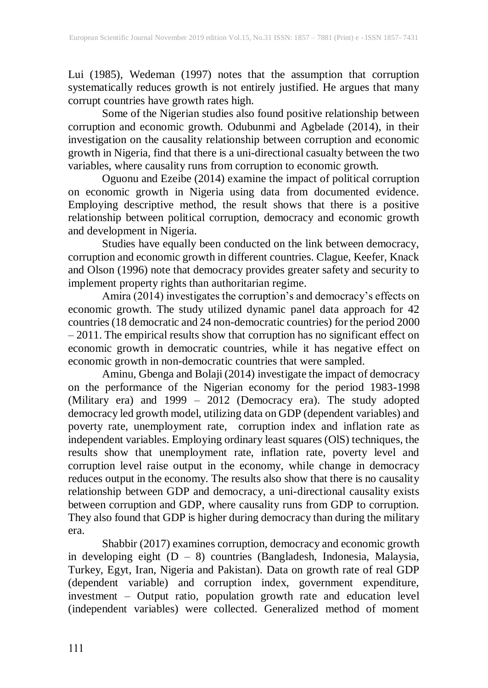Lui (1985), Wedeman (1997) notes that the assumption that corruption systematically reduces growth is not entirely justified. He argues that many corrupt countries have growth rates high.

Some of the Nigerian studies also found positive relationship between corruption and economic growth. Odubunmi and Agbelade (2014), in their investigation on the causality relationship between corruption and economic growth in Nigeria, find that there is a uni-directional casualty between the two variables, where causality runs from corruption to economic growth.

Oguonu and Ezeibe (2014) examine the impact of political corruption on economic growth in Nigeria using data from documented evidence. Employing descriptive method, the result shows that there is a positive relationship between political corruption, democracy and economic growth and development in Nigeria.

Studies have equally been conducted on the link between democracy, corruption and economic growth in different countries. Clague, Keefer, Knack and Olson (1996) note that democracy provides greater safety and security to implement property rights than authoritarian regime.

Amira (2014) investigates the corruption's and democracy's effects on economic growth. The study utilized dynamic panel data approach for 42 countries(18 democratic and 24 non-democratic countries) for the period 2000 – 2011. The empirical results show that corruption has no significant effect on economic growth in democratic countries, while it has negative effect on economic growth in non-democratic countries that were sampled.

Aminu, Gbenga and Bolaji (2014) investigate the impact of democracy on the performance of the Nigerian economy for the period 1983-1998 (Military era) and 1999 – 2012 (Democracy era). The study adopted democracy led growth model, utilizing data on GDP (dependent variables) and poverty rate, unemployment rate, corruption index and inflation rate as independent variables. Employing ordinary least squares (OlS) techniques, the results show that unemployment rate, inflation rate, poverty level and corruption level raise output in the economy, while change in democracy reduces output in the economy. The results also show that there is no causality relationship between GDP and democracy, a uni-directional causality exists between corruption and GDP, where causality runs from GDP to corruption. They also found that GDP is higher during democracy than during the military era.

Shabbir (2017) examines corruption, democracy and economic growth in developing eight (D – 8) countries (Bangladesh, Indonesia, Malaysia, Turkey, Egyt, Iran, Nigeria and Pakistan). Data on growth rate of real GDP (dependent variable) and corruption index, government expenditure, investment – Output ratio, population growth rate and education level (independent variables) were collected. Generalized method of moment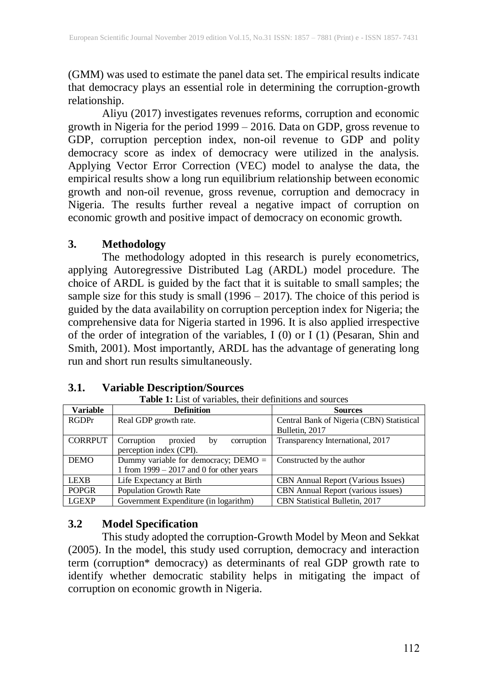(GMM) was used to estimate the panel data set. The empirical results indicate that democracy plays an essential role in determining the corruption-growth relationship.

Aliyu (2017) investigates revenues reforms, corruption and economic growth in Nigeria for the period 1999 – 2016. Data on GDP, gross revenue to GDP, corruption perception index, non-oil revenue to GDP and polity democracy score as index of democracy were utilized in the analysis. Applying Vector Error Correction (VEC) model to analyse the data, the empirical results show a long run equilibrium relationship between economic growth and non-oil revenue, gross revenue, corruption and democracy in Nigeria. The results further reveal a negative impact of corruption on economic growth and positive impact of democracy on economic growth.

### **3. Methodology**

The methodology adopted in this research is purely econometrics, applying Autoregressive Distributed Lag (ARDL) model procedure. The choice of ARDL is guided by the fact that it is suitable to small samples; the sample size for this study is small (1996 – 2017). The choice of this period is guided by the data availability on corruption perception index for Nigeria; the comprehensive data for Nigeria started in 1996. It is also applied irrespective of the order of integration of the variables, I (0) or I (1) (Pesaran, Shin and Smith, 2001). Most importantly, ARDL has the advantage of generating long run and short run results simultaneously.

### **3.1. Variable Description/Sources**

| <b>Variable</b> | <b>Definition</b>                          | <b>Sources</b>                            |  |  |  |  |
|-----------------|--------------------------------------------|-------------------------------------------|--|--|--|--|
| <b>RGDPr</b>    | Real GDP growth rate.                      | Central Bank of Nigeria (CBN) Statistical |  |  |  |  |
|                 |                                            | Bulletin, 2017                            |  |  |  |  |
| <b>CORRPUT</b>  | Corruption<br>corruption<br>proxied<br>by  | Transparency International, 2017          |  |  |  |  |
|                 | perception index (CPI).                    |                                           |  |  |  |  |
| <b>DEMO</b>     | Dummy variable for democracy; $DEMO =$     | Constructed by the author                 |  |  |  |  |
|                 | 1 from $1999 - 2017$ and 0 for other years |                                           |  |  |  |  |
| <b>LEXB</b>     | Life Expectancy at Birth                   | <b>CBN</b> Annual Report (Various Issues) |  |  |  |  |
| <b>POPGR</b>    | Population Growth Rate                     | <b>CBN</b> Annual Report (various issues) |  |  |  |  |
| <b>LGEXP</b>    | Government Expenditure (in logarithm)      | CBN Statistical Bulletin, 2017            |  |  |  |  |

# **Table 1:** List of variables, their definitions and sources

#### **3.2 Model Specification**

This study adopted the corruption-Growth Model by Meon and Sekkat (2005). In the model, this study used corruption, democracy and interaction term (corruption\* democracy) as determinants of real GDP growth rate to identify whether democratic stability helps in mitigating the impact of corruption on economic growth in Nigeria.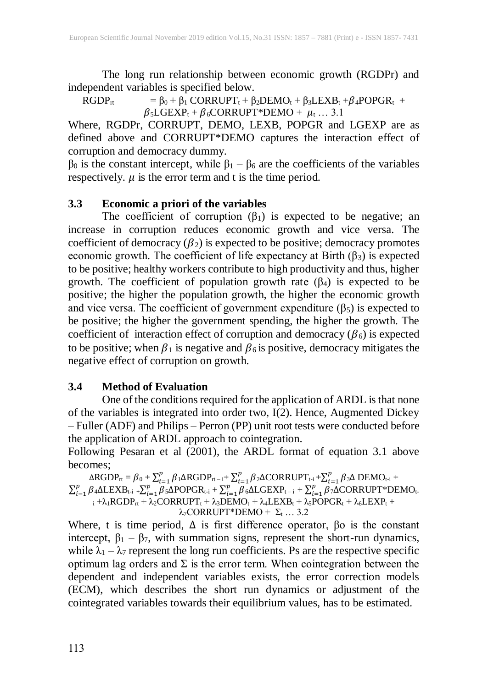The long run relationship between economic growth (RGDPr) and independent variables is specified below.

 $RGDP_{rt} = \beta_0 + \beta_1 CORRUPT_t + \beta_2 DEMO_t + \beta_3LEXB_t + \beta_4 POPGR_t +$  $\beta_5 \text{LGEXP}_t + \beta_6 \text{CORRUPT*DEMO} + \mu_t ... 3.1$ 

Where, RGDPr, CORRUPT, DEMO, LEXB, POPGR and LGEXP are as defined above and CORRUPT\*DEMO captures the interaction effect of corruption and democracy dummy.

 $β<sub>0</sub>$  is the constant intercept, while  $β<sub>1</sub> - β<sub>6</sub>$  are the coefficients of the variables respectively.  $\mu$  is the error term and t is the time period.

# **3.3 Economic a priori of the variables**

The coefficient of corruption  $(\beta_1)$  is expected to be negative; an increase in corruption reduces economic growth and vice versa. The coefficient of democracy  $(\beta_2)$  is expected to be positive; democracy promotes economic growth. The coefficient of life expectancy at Birth  $(\beta_3)$  is expected to be positive; healthy workers contribute to high productivity and thus, higher growth. The coefficient of population growth rate  $(\beta_4)$  is expected to be positive; the higher the population growth, the higher the economic growth and vice versa. The coefficient of government expenditure  $(\beta_5)$  is expected to be positive; the higher the government spending, the higher the growth. The coefficient of interaction effect of corruption and democracy  $(\beta_6)$  is expected to be positive; when  $\beta_1$  is negative and  $\beta_6$  is positive, democracy mitigates the negative effect of corruption on growth.

# **3.4 Method of Evaluation**

One of the conditions required for the application of ARDL is that none of the variables is integrated into order two, I(2). Hence, Augmented Dickey – Fuller (ADF) and Philips – Perron (PP) unit root tests were conducted before the application of ARDL approach to cointegration.

Following Pesaran et al (2001), the ARDL format of equation 3.1 above becomes;

 $\triangle$ RGDP<sub>rt</sub> =  $\beta_0$  +  $\sum_{i=1}^p \beta_i$  $_{i=1}^p$  β 1∆RGDP<sub>rt – i</sub>+ $\sum_{i=1}^p \beta$  $_{i=1}^{p}$  β2 $\Delta$ CORRUPT<sub>t-i</sub> + $\sum_{i=1}^{p}$  β  $_{i=1}^{p}$  β3Δ DEMO<sub>t-i</sub> +  $\sum_{i=1}^p \beta$  $_{i-1}^{p}\beta _{4}\Delta \text{LEXB}_{\text{t-i}}$  + $\sum_{i=1}^{p}\beta _{i}$  $\sum_{i=1}^{p} \beta_5 \Delta \text{POPGR}_{t-i} + \sum_{i=1}^{p} \beta_i$  $\sum_{i=1}^{p} \beta_6 \Delta \text{LGEXP}_{t-i} + \sum_{i=1}^{p} \beta_i$  $_{i=1}^{p}$  β7∆CORRUPT\*DEMO<sub>t-</sub>  $i + \lambda_1 RGDP_{rt} + \lambda_2 CORRUPT_t + \lambda_3 DEMO_t + \lambda_4LEXB_t + \lambda_5 POPGR_t + \lambda_6LEXP_t +$  $λ_7CORRUPT*DEMO + Σ<sub>t</sub> ... 3.2$ 

Where, t is time period,  $\Delta$  is first difference operator,  $\beta$ o is the constant intercept,  $\beta_1 - \beta_7$ , with summation signs, represent the short-run dynamics, while  $\lambda_1 - \lambda_7$  represent the long run coefficients. Ps are the respective specific optimum lag orders and  $\Sigma$  is the error term. When cointegration between the dependent and independent variables exists, the error correction models (ECM), which describes the short run dynamics or adjustment of the cointegrated variables towards their equilibrium values, has to be estimated.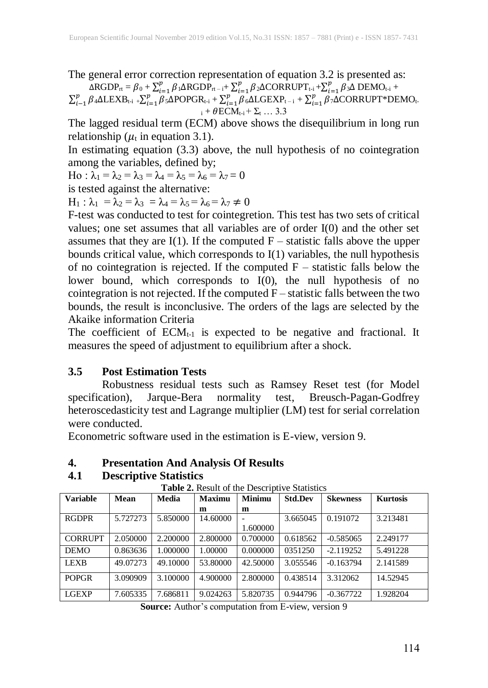The general error correction representation of equation 3.2 is presented as:  $\Delta \text{RGDP}_{\text{rt}} = \beta_0 + \sum_{i=1}^{p} \beta_i$  $_{i=1}^{p} \beta_1 \Delta \text{RGDP}_{\text{rt-i}} + \sum_{i=1}^{p} \beta_i$  $_{i=1}^{p}$  β2 $\Delta$ CORRUPT<sub>t-i</sub> + $\sum_{i=1}^{p}$  β  $_{i=1}^{p}$   $\beta$ <sub>3</sub>∆ DEMO<sub>t-i</sub> +

 $\sum_{i=1}^p \beta$  $_{i-1}^{p}\beta _{4}\Delta \text{LEXB}_{\text{t-i}}$  + $\sum_{i=1}^{p}\beta$  $_{i=1}^{p}$   $\beta_5$ ∆POPGR<sub>t-i</sub> +  $\sum_{i=1}^{p}$   $\beta$  $_{i=1}^p \beta_6 \Delta \text{LGEXP}_{t-i} + \sum_{i=1}^p \beta_i$  $\int_{t=1}^{p} \beta_7 \Delta \text{CORRUPT*DEMO}_{t-1}$  $i + \theta ECM_{t-i} + \Sigma_t ... 3.3$ 

The lagged residual term (ECM) above shows the disequilibrium in long run relationship ( $\mu_t$  in equation 3.1).

In estimating equation (3.3) above, the null hypothesis of no cointegration among the variables, defined by;

Ho :  $\overline{\lambda}_1 = \lambda_2 = \lambda_3 = \overline{\lambda}_4 = \lambda_5 = \overline{\lambda}_6 = \lambda_7 = 0$ 

is tested against the alternative:

 $H_1: \lambda_1 = \lambda_2 = \lambda_3 = \lambda_4 = \lambda_5 = \lambda_6 = \lambda_7 \neq 0$ 

F-test was conducted to test for cointegretion. This test has two sets of critical values; one set assumes that all variables are of order I(0) and the other set assumes that they are  $I(1)$ . If the computed  $F$  – statistic falls above the upper bounds critical value, which corresponds to I(1) variables, the null hypothesis of no cointegration is rejected. If the computed  $F -$  statistic falls below the lower bound, which corresponds to I(0), the null hypothesis of no cointegration is not rejected. If the computed  $F-$  statistic falls between the two bounds, the result is inconclusive. The orders of the lags are selected by the Akaike information Criteria

The coefficient of  $ECM<sub>t-1</sub>$  is expected to be negative and fractional. It measures the speed of adjustment to equilibrium after a shock.

### **3.5 Post Estimation Tests**

Robustness residual tests such as Ramsey Reset test (for Model specification), Jarque-Bera normality test, Breusch-Pagan-Godfrey heteroscedasticity test and Lagrange multiplier (LM) test for serial correlation were conducted.

Econometric software used in the estimation is E-view, version 9.

# **4. Presentation And Analysis Of Results**

# **4.1 Descriptive Statistics**

| Variable       | <b>Mean</b> | Media    | <b>Maximu</b> | <b>Minimu</b> | <b>Std.Dev</b> | <b>Skewness</b> | <b>Kurtosis</b> |
|----------------|-------------|----------|---------------|---------------|----------------|-----------------|-----------------|
|                |             |          | m             | m             |                |                 |                 |
| <b>RGDPR</b>   | 5.727273    | 5.850000 | 14.60000      |               | 3.665045       | 0.191072        | 3.213481        |
|                |             |          |               | 1.600000      |                |                 |                 |
| <b>CORRUPT</b> | 2.050000    | 2.200000 | 2.800000      | 0.700000      | 0.618562       | $-0.585065$     | 2.249177        |
| <b>DEMO</b>    | 0.863636    | 1.000000 | 00000.1       | 0.000000      | 0351250        | $-2.119252$     | 5.491228        |
| <b>LEXB</b>    | 49.07273    | 49.10000 | 53.80000      | 42.50000      | 3.055546       | $-0.163794$     | 2.141589        |
| <b>POPGR</b>   | 3.090909    | 3.100000 | 4.900000      | 2.800000      | 0.438514       | 3.312062        | 14.52945        |
| <b>LGEXP</b>   | 7.605335    | 7.686811 | 9.024263      | 5.820735      | 0.944796       | $-0.367722$     | 1.928204        |

**Table 2.** Result of the Descriptive Statistics

**Source:** Author's computation from E-view, version 9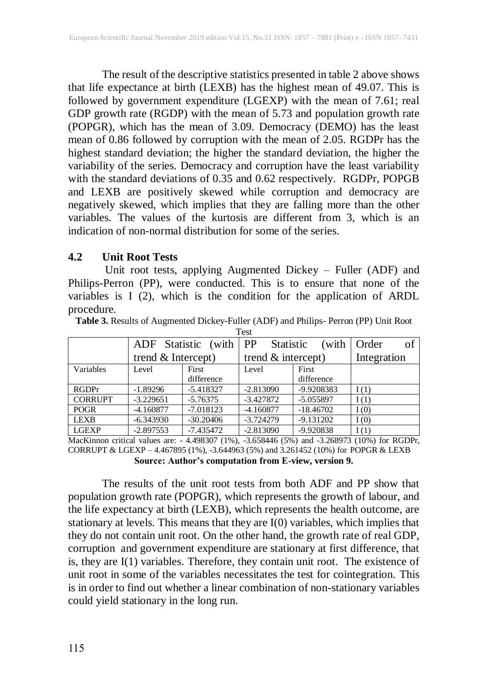The result of the descriptive statistics presented in table 2 above shows that life expectance at birth (LEXB) has the highest mean of 49.07. This is followed by government expenditure (LGEXP) with the mean of 7.61; real GDP growth rate (RGDP) with the mean of 5.73 and population growth rate (POPGR), which has the mean of 3.09. Democracy (DEMO) has the least mean of 0.86 followed by corruption with the mean of 2.05. RGDPr has the highest standard deviation; the higher the standard deviation, the higher the variability of the series. Democracy and corruption have the least variability with the standard deviations of 0.35 and 0.62 respectively. RGDPr, POPGB and LEXB are positively skewed while corruption and democracy are negatively skewed, which implies that they are falling more than the other variables. The values of the kurtosis are different from 3, which is an indication of non-normal distribution for some of the series.

#### **4.2 Unit Root Tests**

Unit root tests, applying Augmented Dickey – Fuller (ADF) and Philips-Perron (PP), were conducted. This is to ensure that none of the variables is I (2), which is the condition for the application of ARDL procedure.

| エレコレ           |                              |              |                      |             |             |  |  |
|----------------|------------------------------|--------------|----------------------|-------------|-------------|--|--|
|                | (with   PP)<br>ADF Statistic |              | <b>Statistic</b>     | (with       | of<br>Order |  |  |
|                | trend $&$ Intercept)         |              | trend $&$ intercept) |             | Integration |  |  |
| Variables      | Level                        | <b>First</b> | Level                | First       |             |  |  |
|                |                              | difference   |                      | difference  |             |  |  |
| <b>RGDPr</b>   | $-1.89296$                   | $-5.418327$  | $-2.813090$          | -9.9208383  | I(1)        |  |  |
| <b>CORRUPT</b> | $-3.229651$                  | $-5.76375$   | $-3.427872$          | $-5.055897$ | I(1)        |  |  |
| <b>POGR</b>    | $-4.160877$                  | $-7.018123$  | $-4.160877$          | $-18.46702$ | I(0)        |  |  |
| <b>LEXB</b>    | $-6.343930$                  | $-30.20406$  | $-3.724279$          | $-9.131202$ | I(0)        |  |  |
| <b>LGEXP</b>   | $-2.897553$                  | $-7.435472$  | $-2.813090$          | $-9.920838$ | I(1)        |  |  |

**Table 3.** Results of Augmented Dickey-Fuller (ADF) and Philips- Perron (PP) Unit Root  $T_{\alpha}$ 

MacKinnon critical values are: - 4.498307 (1%), -3.658446 (5%) and -3.268973 (10%) for RGDPr, CORRUPT & LGEXP – 4.467895 (1%), -3.644963 (5%) and 3.261452 (10%) for POPGR & LEXB **Source: Author's computation from E-view, version 9.**

The results of the unit root tests from both ADF and PP show that population growth rate (POPGR), which represents the growth of labour, and the life expectancy at birth (LEXB), which represents the health outcome, are stationary at levels. This means that they are I(0) variables, which implies that they do not contain unit root. On the other hand, the growth rate of real GDP, corruption and government expenditure are stationary at first difference, that is, they are I(1) variables. Therefore, they contain unit root. The existence of unit root in some of the variables necessitates the test for cointegration. This is in order to find out whether a linear combination of non-stationary variables could yield stationary in the long run.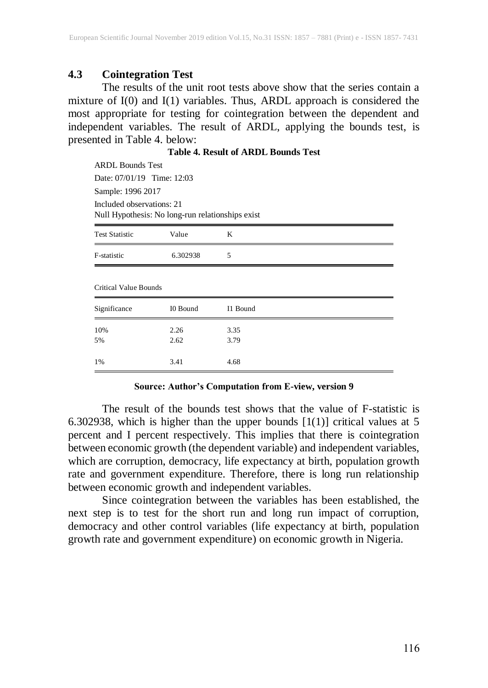#### **4.3 Cointegration Test**

The results of the unit root tests above show that the series contain a mixture of I(0) and I(1) variables. Thus, ARDL approach is considered the most appropriate for testing for cointegration between the dependent and independent variables. The result of ARDL, applying the bounds test, is presented in Table 4. below:

| <b>Table 4. Result of ARDL Bounds Test</b> |  |  |
|--------------------------------------------|--|--|
|--------------------------------------------|--|--|

| <b>Test Statistic</b>                            | Value | K |  |
|--------------------------------------------------|-------|---|--|
| Null Hypothesis: No long-run relationships exist |       |   |  |
| Included observations: 21                        |       |   |  |
| Sample: 1996 2017                                |       |   |  |
| Date: 07/01/19 Time: 12:03                       |       |   |  |
| <b>ARDL Bounds Test</b>                          |       |   |  |

| T OUT D'INTIURE              | ,            | $\cdots$     |  |
|------------------------------|--------------|--------------|--|
| F-statistic                  | 6.302938     | 5            |  |
| <b>Critical Value Bounds</b> |              |              |  |
| Significance                 | I0 Bound     | I1 Bound     |  |
| 10%<br>5%                    | 2.26<br>2.62 | 3.35<br>3.79 |  |
| 1%                           | 3.41         | 4.68         |  |

#### **Source: Author's Computation from E-view, version 9**

The result of the bounds test shows that the value of F-statistic is 6.302938, which is higher than the upper bounds  $[1(1)]$  critical values at 5 percent and I percent respectively. This implies that there is cointegration between economic growth (the dependent variable) and independent variables, which are corruption, democracy, life expectancy at birth, population growth rate and government expenditure. Therefore, there is long run relationship between economic growth and independent variables.

Since cointegration between the variables has been established, the next step is to test for the short run and long run impact of corruption, democracy and other control variables (life expectancy at birth, population growth rate and government expenditure) on economic growth in Nigeria.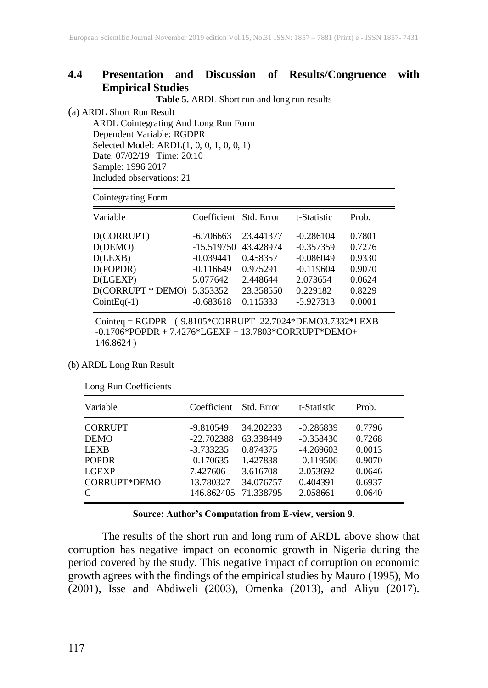#### **4.4 Presentation and Discussion of Results/Congruence with Empirical Studies**

**Table 5.** ARDL Short run and long run results

(a) ARDL Short Run Result

ARDL Cointegrating And Long Run Form Dependent Variable: RGDPR Selected Model: ARDL(1, 0, 0, 1, 0, 0, 1) Date: 07/02/19 Time: 20:10 Sample: 1996 2017 Included observations: 21

Cointegrating Form

| Variable                                                                                       | Coefficient Std. Error                                                                                   |                                                                        | t-Statistic                                                                                     | Prob.                                                              |
|------------------------------------------------------------------------------------------------|----------------------------------------------------------------------------------------------------------|------------------------------------------------------------------------|-------------------------------------------------------------------------------------------------|--------------------------------------------------------------------|
| D(CORRUPT)<br>D(DEMO)<br>D(LEXB)<br>D(POPDR)<br>D(LGEXP)<br>D(CORRUPT * DEMO)<br>$CointEq(-1)$ | $-6.706663$<br>-15.519750 43.428974<br>$-0.039441$<br>$-0.116649$<br>5.077642<br>5.353352<br>$-0.683618$ | 23.441377<br>0.458357<br>0.975291<br>2.448644<br>23.358550<br>0.115333 | $-0.286104$<br>$-0.357359$<br>$-0.086049$<br>$-0.119604$<br>2.073654<br>0.229182<br>$-5.927313$ | 0.7801<br>0.7276<br>0.9330<br>0.9070<br>0.0624<br>0.8229<br>0.0001 |
|                                                                                                |                                                                                                          |                                                                        |                                                                                                 |                                                                    |

Cointeq = RGDPR - (-9.8105\*CORRUPT 22.7024\*DEMO3.7332\*LEXB -0.1706\*POPDR + 7.4276\*LGEXP + 13.7803\*CORRUPT\*DEMO+ 146.8624 )

#### (b) ARDL Long Run Result

|  | Long Run Coefficients |
|--|-----------------------|
|--|-----------------------|

| Variable       | Coefficient  | Std. Error | t-Statistic | Prob.  |
|----------------|--------------|------------|-------------|--------|
| <b>CORRUPT</b> | $-9.810549$  | 34.202233  | $-0.286839$ | 0.7796 |
| <b>DEMO</b>    | $-22.702388$ | 63.338449  | $-0.358430$ | 0.7268 |
| <b>LEXB</b>    | $-3.733235$  | 0.874375   | $-4.269603$ | 0.0013 |
| <b>POPDR</b>   | $-0.170635$  | 1.427838   | $-0.119506$ | 0.9070 |
| <b>LGEXP</b>   | 7.427606     | 3.616708   | 2.053692    | 0.0646 |
| CORRUPT*DEMO   | 13.780327    | 34.076757  | 0.404391    | 0.6937 |
| C              | 146.862405   | 71.338795  | 2.058661    | 0.0640 |

#### **Source: Author's Computation from E-view, version 9.**

The results of the short run and long rum of ARDL above show that corruption has negative impact on economic growth in Nigeria during the period covered by the study. This negative impact of corruption on economic growth agrees with the findings of the empirical studies by Mauro (1995), Mo (2001), Isse and Abdiweli (2003), Omenka (2013), and Aliyu (2017).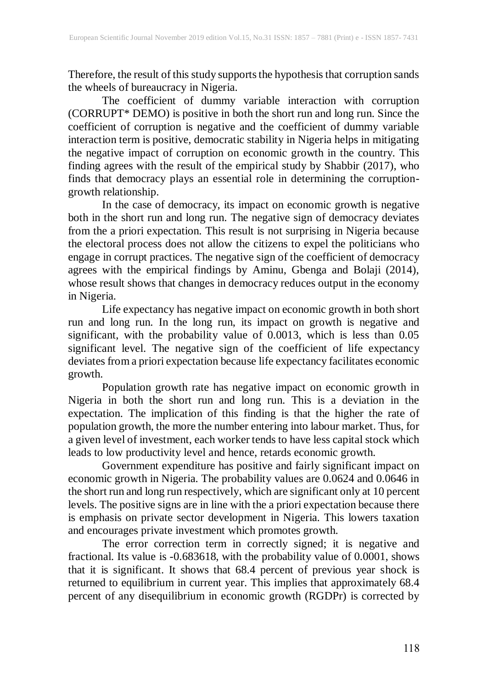Therefore, the result of this study supports the hypothesis that corruption sands the wheels of bureaucracy in Nigeria.

The coefficient of dummy variable interaction with corruption (CORRUPT\* DEMO) is positive in both the short run and long run. Since the coefficient of corruption is negative and the coefficient of dummy variable interaction term is positive, democratic stability in Nigeria helps in mitigating the negative impact of corruption on economic growth in the country. This finding agrees with the result of the empirical study by Shabbir (2017), who finds that democracy plays an essential role in determining the corruptiongrowth relationship.

In the case of democracy, its impact on economic growth is negative both in the short run and long run. The negative sign of democracy deviates from the a priori expectation. This result is not surprising in Nigeria because the electoral process does not allow the citizens to expel the politicians who engage in corrupt practices. The negative sign of the coefficient of democracy agrees with the empirical findings by Aminu, Gbenga and Bolaji (2014), whose result shows that changes in democracy reduces output in the economy in Nigeria.

Life expectancy has negative impact on economic growth in both short run and long run. In the long run, its impact on growth is negative and significant, with the probability value of 0.0013, which is less than 0.05 significant level. The negative sign of the coefficient of life expectancy deviates from a priori expectation because life expectancy facilitates economic growth.

Population growth rate has negative impact on economic growth in Nigeria in both the short run and long run. This is a deviation in the expectation. The implication of this finding is that the higher the rate of population growth, the more the number entering into labour market. Thus, for a given level of investment, each worker tends to have less capital stock which leads to low productivity level and hence, retards economic growth.

Government expenditure has positive and fairly significant impact on economic growth in Nigeria. The probability values are 0.0624 and 0.0646 in the short run and long run respectively, which are significant only at 10 percent levels. The positive signs are in line with the a priori expectation because there is emphasis on private sector development in Nigeria. This lowers taxation and encourages private investment which promotes growth.

The error correction term in correctly signed; it is negative and fractional. Its value is -0.683618, with the probability value of 0.0001, shows that it is significant. It shows that 68.4 percent of previous year shock is returned to equilibrium in current year. This implies that approximately 68.4 percent of any disequilibrium in economic growth (RGDPr) is corrected by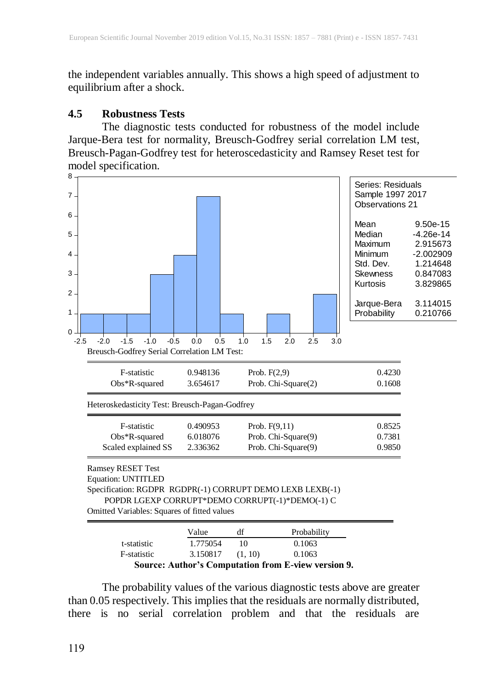the independent variables annually. This shows a high speed of adjustment to equilibrium after a shock.

#### **4.5 Robustness Tests**

The diagnostic tests conducted for robustness of the model include Jarque-Bera test for normality, Breusch-Godfrey serial correlation LM test, Breusch-Pagan-Godfrey test for heteroscedasticity and Ramsey Reset test for model specification.



The probability values of the various diagnostic tests above are greater than 0.05 respectively. This implies that the residuals are normally distributed, there is no serial correlation problem and that the residuals are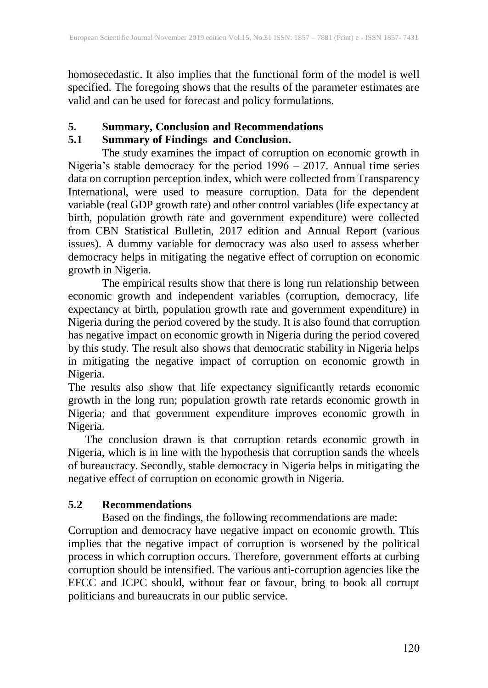homosecedastic. It also implies that the functional form of the model is well specified. The foregoing shows that the results of the parameter estimates are valid and can be used for forecast and policy formulations.

# **5. Summary, Conclusion and Recommendations**

# **5.1 Summary of Findings and Conclusion.**

The study examines the impact of corruption on economic growth in Nigeria's stable democracy for the period 1996 – 2017. Annual time series data on corruption perception index, which were collected from Transparency International, were used to measure corruption. Data for the dependent variable (real GDP growth rate) and other control variables (life expectancy at birth, population growth rate and government expenditure) were collected from CBN Statistical Bulletin, 2017 edition and Annual Report (various issues). A dummy variable for democracy was also used to assess whether democracy helps in mitigating the negative effect of corruption on economic growth in Nigeria.

The empirical results show that there is long run relationship between economic growth and independent variables (corruption, democracy, life expectancy at birth, population growth rate and government expenditure) in Nigeria during the period covered by the study. It is also found that corruption has negative impact on economic growth in Nigeria during the period covered by this study. The result also shows that democratic stability in Nigeria helps in mitigating the negative impact of corruption on economic growth in Nigeria.

The results also show that life expectancy significantly retards economic growth in the long run; population growth rate retards economic growth in Nigeria; and that government expenditure improves economic growth in Nigeria.

The conclusion drawn is that corruption retards economic growth in Nigeria, which is in line with the hypothesis that corruption sands the wheels of bureaucracy. Secondly, stable democracy in Nigeria helps in mitigating the negative effect of corruption on economic growth in Nigeria.

# **5.2 Recommendations**

Based on the findings, the following recommendations are made: Corruption and democracy have negative impact on economic growth. This implies that the negative impact of corruption is worsened by the political process in which corruption occurs. Therefore, government efforts at curbing corruption should be intensified. The various anti-corruption agencies like the EFCC and ICPC should, without fear or favour, bring to book all corrupt politicians and bureaucrats in our public service.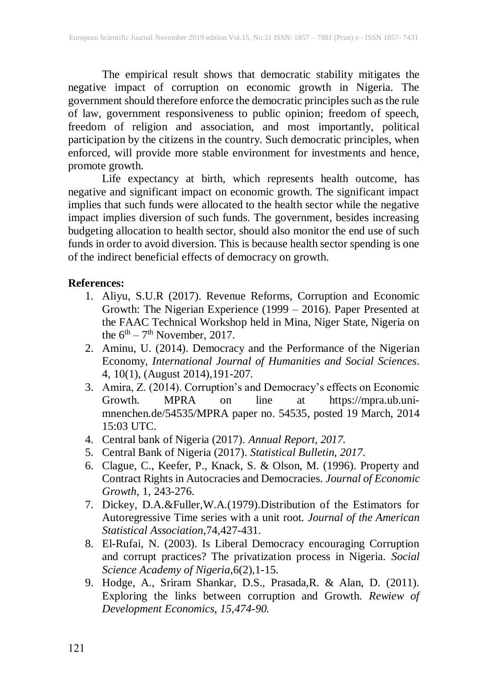The empirical result shows that democratic stability mitigates the negative impact of corruption on economic growth in Nigeria. The government should therefore enforce the democratic principles such as the rule of law, government responsiveness to public opinion; freedom of speech, freedom of religion and association, and most importantly, political participation by the citizens in the country. Such democratic principles, when enforced, will provide more stable environment for investments and hence, promote growth.

Life expectancy at birth, which represents health outcome, has negative and significant impact on economic growth. The significant impact implies that such funds were allocated to the health sector while the negative impact implies diversion of such funds. The government, besides increasing budgeting allocation to health sector, should also monitor the end use of such funds in order to avoid diversion. This is because health sector spending is one of the indirect beneficial effects of democracy on growth.

### **References:**

- 1. Aliyu, S.U.R (2017). Revenue Reforms, Corruption and Economic Growth: The Nigerian Experience (1999 – 2016). Paper Presented at the FAAC Technical Workshop held in Mina, Niger State, Nigeria on the  $6^{\text{th}} - 7^{\text{th}}$  November, 2017.
- 2. Aminu, U. (2014). Democracy and the Performance of the Nigerian Economy, *International Journal of Humanities and Social Sciences*. 4, 10(1), (August 2014),191-207.
- 3. Amira, Z. (2014). Corruption's and Democracy's effects on Economic Growth. MPRA on line at [https://mpra.ub.uni](https://mpra.ub.uni-mnenchen.de/54535/MPRA%20paper%20no.%2054535)[mnenchen.de/54535/MPRA](https://mpra.ub.uni-mnenchen.de/54535/MPRA%20paper%20no.%2054535) paper no. 54535, posted 19 March, 2014 15:03 UTC.
- 4. Central bank of Nigeria (2017). *Annual Report, 2017.*
- 5. Central Bank of Nigeria (2017). *Statistical Bulletin, 2017*.
- 6. Clague, C., Keefer, P., Knack, S. & Olson, M. (1996). Property and Contract Rights in Autocracies and Democracies. *Journal of Economic Growth*, 1, 243-276.
- 7. Dickey, D.A.&Fuller,W.A.(1979).Distribution of the Estimators for Autoregressive Time series with a unit root*. Journal of the American Statistical Association*,74,427-431.
- 8. El-Rufai, N. (2003). Is Liberal Democracy encouraging Corruption and corrupt practices? The privatization process in Nigeria. *Social Science Academy of Nigeria*,6(2),1-15.
- 9. Hodge, A., Sriram Shankar, D.S., Prasada,R. & Alan, D. (2011). Exploring the links between corruption and Growth. *Rewiew of Development Economics, 15,474-90.*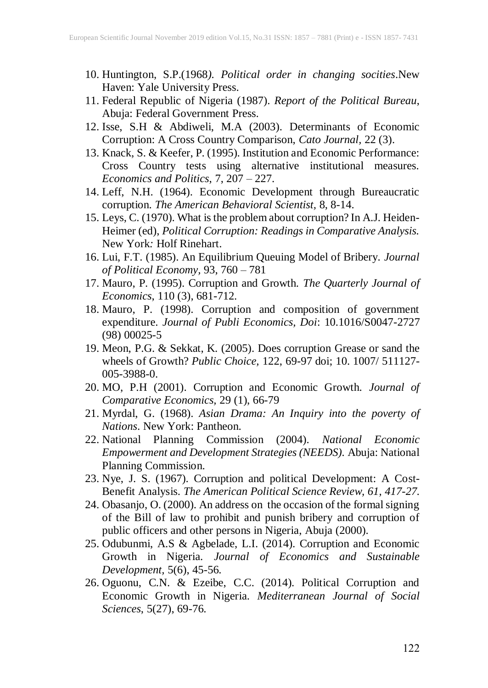- 10. Huntington, S.P.(1968*). Political order in changing socities*.New Haven: Yale University Press.
- 11. Federal Republic of Nigeria (1987). *Report of the Political Bureau*, Abuja: Federal Government Press.
- 12. Isse, S.H & Abdiweli, M.A (2003). Determinants of Economic Corruption: A Cross Country Comparison, *Cato Journal,* 22 (3).
- 13. Knack, S. & Keefer, P. (1995). Institution and Economic Performance: Cross Country tests using alternative institutional measures. *Economics and Politics*, 7, 207 – 227.
- 14. Leff, N.H. (1964). Economic Development through Bureaucratic corruption. *The American Behavioral Scientist,* 8, 8-14.
- 15. Leys, C. (1970). What is the problem about corruption? In A.J. Heiden-Heimer (ed), *Political Corruption: Readings in Comparative Analysis.* New York*:* Holf Rinehart.
- 16. Lui, F.T. (1985). An Equilibrium Queuing Model of Bribery. *Journal of Political Economy,* 93, 760 – 781
- 17. Mauro, P. (1995). Corruption and Growth. *The Quarterly Journal of Economics*, 110 (3), 681-712.
- 18. Mauro, P. (1998). Corruption and composition of government expenditure. *Journal of Publi Economics, Doi*: 10.1016/S0047-2727 (98) 00025-5
- 19. Meon, P.G. & Sekkat, K. (2005). Does corruption Grease or sand the wheels of Growth? *Public Choice,* 122, 69-97 doi; 10. 1007/ 511127- 005-3988-0.
- 20. MO, P.H (2001). Corruption and Economic Growth. *Journal of Comparative Economics,* 29 (1), 66-79
- 21. Myrdal, G. (1968). *Asian Drama: An Inquiry into the poverty of Nations*. New York: Pantheon.
- 22. National Planning Commission (2004). *National Economic Empowerment and Development Strategies (NEEDS).* Abuja: National Planning Commission.
- 23. Nye, J. S. (1967). Corruption and political Development: A Cost-Benefit Analysis. *The American Political Science Review, 61, 417-27.*
- 24. Obasanjo, O. (2000). An address on the occasion of the formal signing of the Bill of law to prohibit and punish bribery and corruption of public officers and other persons in Nigeria, Abuja (2000).
- 25. Odubunmi, A.S & Agbelade, L.I. (2014). Corruption and Economic Growth in Nigeria. *Journal of Economics and Sustainable Development,* 5(6), 45-56.
- 26. Oguonu, C.N. & Ezeibe, C.C. (2014). Political Corruption and Economic Growth in Nigeria. *Mediterranean Journal of Social Sciences*, 5(27), 69-76.